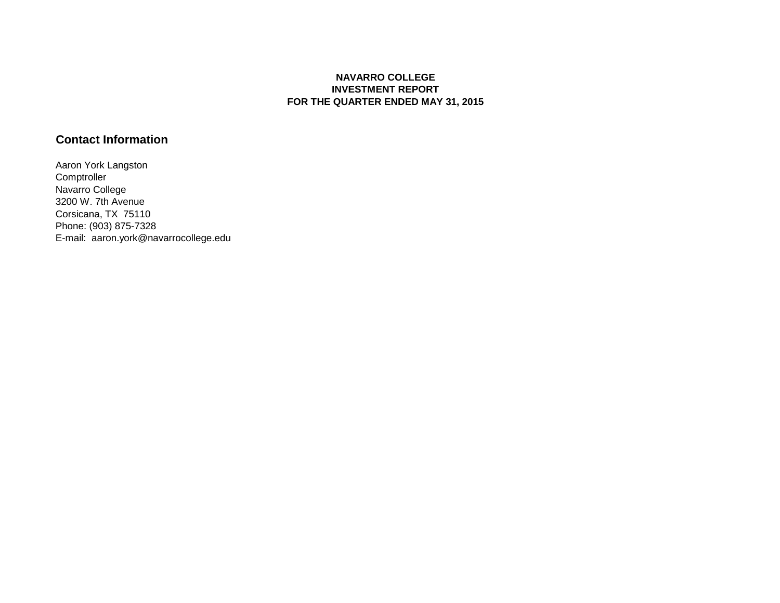## **NAVARRO COLLEGE INVESTMENT REPORT FOR THE QUARTER ENDED MAY 31, 2015**

## **Contact Information**

Aaron York Langston **Comptroller** Navarro College 3200 W. 7th Avenue Corsicana, TX 75110 Phone: (903) 875-7328 E-mail: aaron.york@navarrocollege.edu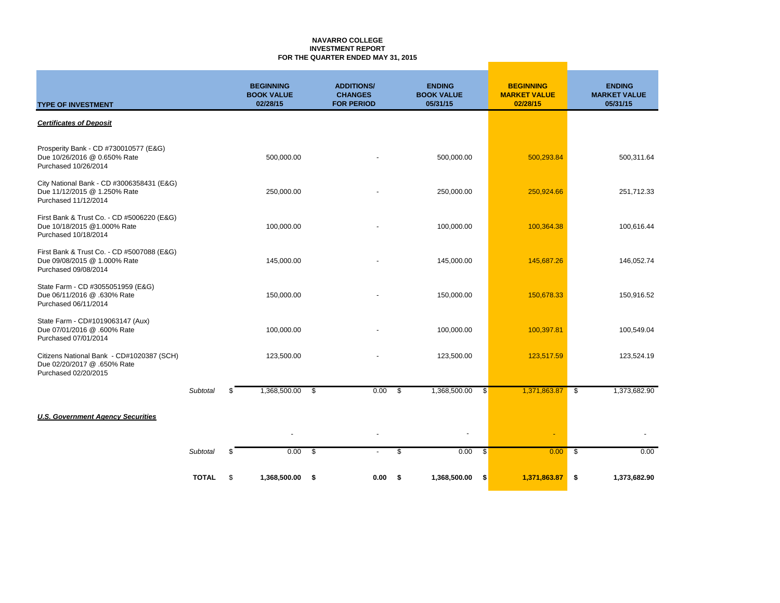#### **NAVARRO COLLEGE INVESTMENT REPORT FOR THE QUARTER ENDED MAY 31, 2015**

| <b>TYPE OF INVESTMENT</b>                                                                          |                 | <b>BEGINNING</b><br><b>BOOK VALUE</b><br>02/28/15 | <b>ADDITIONS/</b><br><b>CHANGES</b><br><b>FOR PERIOD</b> | <b>ENDING</b><br><b>BOOK VALUE</b><br>05/31/15 |     | <b>BEGINNING</b><br><b>MARKET VALUE</b><br>02/28/15 | <b>ENDING</b><br><b>MARKET VALUE</b><br>05/31/15 |
|----------------------------------------------------------------------------------------------------|-----------------|---------------------------------------------------|----------------------------------------------------------|------------------------------------------------|-----|-----------------------------------------------------|--------------------------------------------------|
| <b>Certificates of Deposit</b>                                                                     |                 |                                                   |                                                          |                                                |     |                                                     |                                                  |
| Prosperity Bank - CD #730010577 (E&G)<br>Due 10/26/2016 @ 0.650% Rate<br>Purchased 10/26/2014      |                 | 500,000.00                                        |                                                          | 500,000.00                                     |     | 500,293.84                                          | 500,311.64                                       |
| City National Bank - CD #3006358431 (E&G)<br>Due 11/12/2015 @ 1.250% Rate<br>Purchased 11/12/2014  |                 | 250,000.00                                        |                                                          | 250,000.00                                     |     | 250,924.66                                          | 251,712.33                                       |
| First Bank & Trust Co. - CD #5006220 (E&G)<br>Due 10/18/2015 @1.000% Rate<br>Purchased 10/18/2014  |                 | 100,000.00                                        |                                                          | 100,000.00                                     |     | 100,364.38                                          | 100,616.44                                       |
| First Bank & Trust Co. - CD #5007088 (E&G)<br>Due 09/08/2015 @ 1.000% Rate<br>Purchased 09/08/2014 |                 | 145,000.00                                        |                                                          | 145,000.00                                     |     | 145,687.26                                          | 146,052.74                                       |
| State Farm - CD #3055051959 (E&G)<br>Due 06/11/2016 @ .630% Rate<br>Purchased 06/11/2014           |                 | 150,000.00                                        |                                                          | 150,000.00                                     |     | 150,678.33                                          | 150,916.52                                       |
| State Farm - CD#1019063147 (Aux)<br>Due 07/01/2016 @ .600% Rate<br>Purchased 07/01/2014            |                 | 100,000.00                                        |                                                          | 100,000.00                                     |     | 100,397.81                                          | 100,549.04                                       |
| Citizens National Bank - CD#1020387 (SCH)<br>Due 02/20/2017 @ .650% Rate<br>Purchased 02/20/2015   |                 | 123,500.00                                        |                                                          | 123,500.00                                     |     | 123,517.59                                          | 123,524.19                                       |
|                                                                                                    | <b>Subtotal</b> | \$<br>1,368,500.00                                | \$<br>0.00                                               | \$<br>1,368,500.00                             | -\$ | 1,371,863.87                                        | \$<br>1,373,682.90                               |
| <b>U.S. Government Agency Securities</b>                                                           |                 |                                                   |                                                          |                                                |     |                                                     |                                                  |
|                                                                                                    |                 |                                                   |                                                          |                                                |     | $\blacksquare$                                      |                                                  |
|                                                                                                    | Subtotal        | \$<br>0.00                                        | \$                                                       | \$<br>0.00                                     | -\$ | 0.00                                                | \$<br>0.00                                       |
|                                                                                                    | <b>TOTAL</b>    | \$<br>1,368,500.00                                | \$<br>0.00                                               | \$<br>1,368,500.00                             | \$  | 1,371,863.87                                        | \$<br>1,373,682.90                               |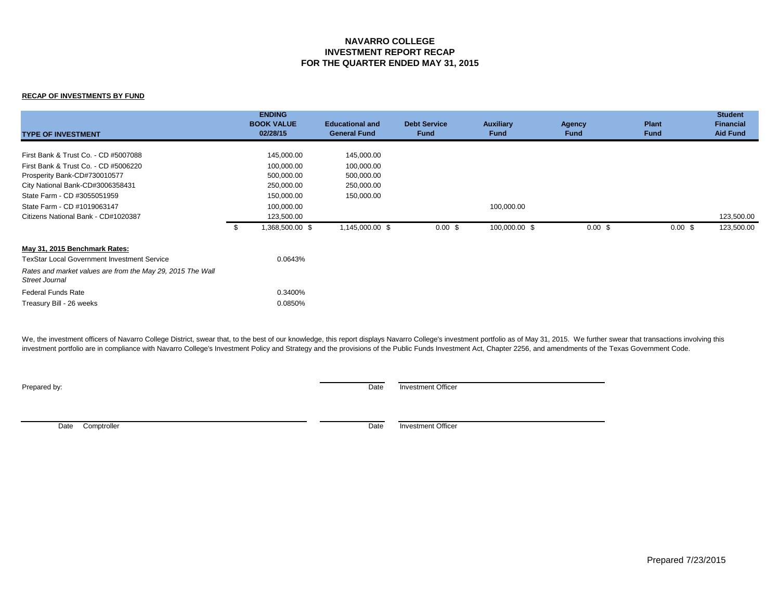## **NAVARRO COLLEGE INVESTMENT REPORT RECAP FOR THE QUARTER ENDED MAY 31, 2015**

### **RECAP OF INVESTMENTS BY FUND**

| <b>TYPE OF INVESTMENT</b>                                                    |     | <b>ENDING</b><br><b>BOOK VALUE</b><br>02/28/15 | <b>Educational and</b><br><b>General Fund</b> | <b>Debt Service</b><br><b>Fund</b> | <b>Auxiliary</b><br><b>Fund</b> | Agency<br>Fund     | <b>Plant</b><br><b>Fund</b> | <b>Student</b><br><b>Financial</b><br><b>Aid Fund</b> |
|------------------------------------------------------------------------------|-----|------------------------------------------------|-----------------------------------------------|------------------------------------|---------------------------------|--------------------|-----------------------------|-------------------------------------------------------|
| First Bank & Trust Co. - CD #5007088                                         |     | 145,000.00                                     | 145,000.00                                    |                                    |                                 |                    |                             |                                                       |
| First Bank & Trust Co. - CD #5006220                                         |     | 100,000.00                                     | 100,000.00                                    |                                    |                                 |                    |                             |                                                       |
| Prosperity Bank-CD#730010577                                                 |     | 500,000.00                                     | 500,000.00                                    |                                    |                                 |                    |                             |                                                       |
| City National Bank-CD#3006358431                                             |     | 250,000.00                                     | 250,000.00                                    |                                    |                                 |                    |                             |                                                       |
| State Farm - CD #3055051959                                                  |     | 150,000.00                                     | 150,000.00                                    |                                    |                                 |                    |                             |                                                       |
| State Farm - CD #1019063147                                                  |     | 100,000.00                                     |                                               |                                    | 100,000.00                      |                    |                             |                                                       |
| Citizens National Bank - CD#1020387                                          |     | 123,500.00                                     |                                               |                                    |                                 |                    |                             | 123,500.00                                            |
|                                                                              | -\$ | 1,368,500.00 \$                                | 1,145,000.00 \$                               | $0.00 \text{ }$ \$                 | 100,000.00 \$                   | $0.00 \text{ }$ \$ | $0.00 \text{ }$ \$          | 123,500.00                                            |
| May 31, 2015 Benchmark Rates:                                                |     |                                                |                                               |                                    |                                 |                    |                             |                                                       |
| <b>TexStar Local Government Investment Service</b>                           |     | 0.0643%                                        |                                               |                                    |                                 |                    |                             |                                                       |
| Rates and market values are from the May 29, 2015 The Wall<br>Street Journal |     |                                                |                                               |                                    |                                 |                    |                             |                                                       |
| <b>Federal Funds Rate</b>                                                    |     | 0.3400%                                        |                                               |                                    |                                 |                    |                             |                                                       |
| Treasury Bill - 26 weeks                                                     |     | 0.0850%                                        |                                               |                                    |                                 |                    |                             |                                                       |

We, the investment officers of Navarro College District, swear that, to the best of our knowledge, this report displays Navarro College's investment portfolio as of May 31, 2015. We further swear that transactions involvin investment portfolio are in compliance with Navarro College's Investment Policy and Strategy and the provisions of the Public Funds Investment Act, Chapter 2256, and amendments of the Texas Government Code.

**Prepared by:** Date Investment Officer

Date Comptroller **Date** Investment Officer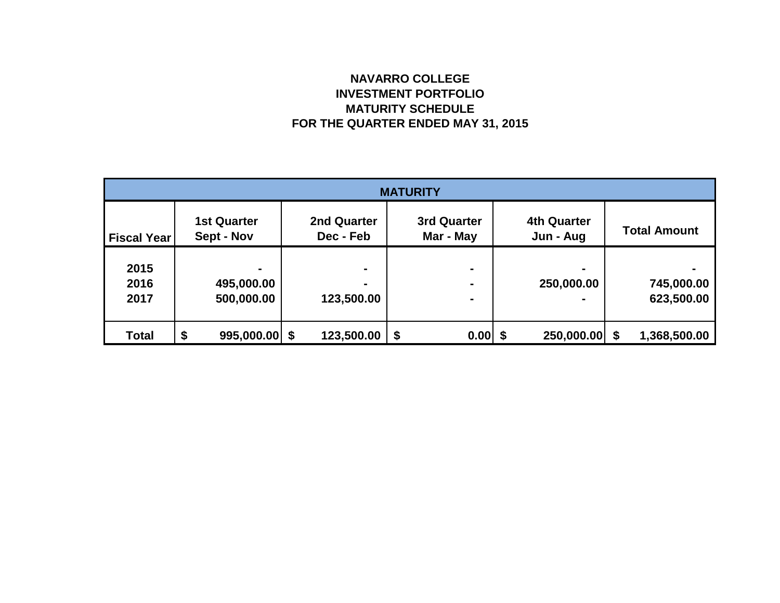# **NAVARRO COLLEGE INVESTMENT PORTFOLIO MATURITY SCHEDULE FOR THE QUARTER ENDED MAY 31, 2015**

| <b>MATURITY</b>      |                                  |                          |                          |                                 |                          |  |  |  |
|----------------------|----------------------------------|--------------------------|--------------------------|---------------------------------|--------------------------|--|--|--|
| <b>Fiscal Year</b>   | <b>1st Quarter</b><br>Sept - Nov | 2nd Quarter<br>Dec - Feb | 3rd Quarter<br>Mar - May | <b>4th Quarter</b><br>Jun - Aug | <b>Total Amount</b>      |  |  |  |
| 2015<br>2016<br>2017 | 495,000.00<br>500,000.00         | ۰<br>123,500.00          | ٠                        | $\blacksquare$<br>250,000.00    | 745,000.00<br>623,500.00 |  |  |  |
| <b>Total</b>         | \$<br>$995,000.00$ \$            | 123,500.00               | \$<br>0.00               | $250,000.00$ \$<br>S            | 1,368,500.00             |  |  |  |